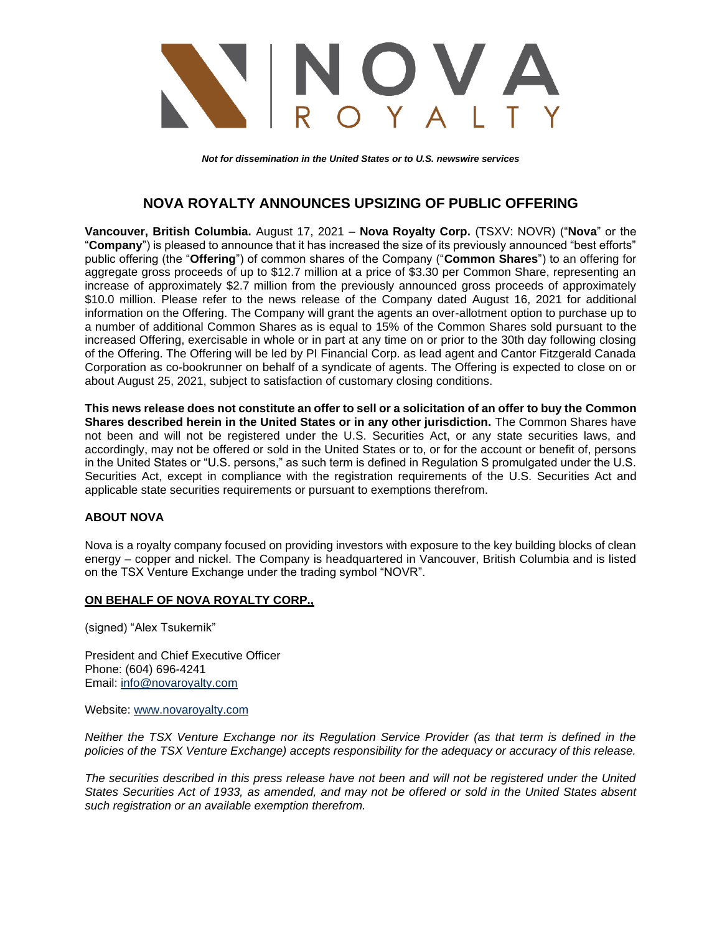

*Not for dissemination in the United States or to U.S. newswire services*

## **NOVA ROYALTY ANNOUNCES UPSIZING OF PUBLIC OFFERING**

**Vancouver, British Columbia.** August 17, 2021 – **Nova Royalty Corp.** (TSXV: NOVR) ("**Nova**" or the "**Company**") is pleased to announce that it has increased the size of its previously announced "best efforts" public offering (the "**Offering**") of common shares of the Company ("**Common Shares**") to an offering for aggregate gross proceeds of up to \$12.7 million at a price of \$3.30 per Common Share, representing an increase of approximately \$2.7 million from the previously announced gross proceeds of approximately \$10.0 million. Please refer to the news release of the Company dated August 16, 2021 for additional information on the Offering. The Company will grant the agents an over-allotment option to purchase up to a number of additional Common Shares as is equal to 15% of the Common Shares sold pursuant to the increased Offering, exercisable in whole or in part at any time on or prior to the 30th day following closing of the Offering. The Offering will be led by PI Financial Corp. as lead agent and Cantor Fitzgerald Canada Corporation as co-bookrunner on behalf of a syndicate of agents. The Offering is expected to close on or about August 25, 2021, subject to satisfaction of customary closing conditions.

**This news release does not constitute an offer to sell or a solicitation of an offer to buy the Common Shares described herein in the United States or in any other jurisdiction.** The Common Shares have not been and will not be registered under the U.S. Securities Act, or any state securities laws, and accordingly, may not be offered or sold in the United States or to, or for the account or benefit of, persons in the United States or "U.S. persons," as such term is defined in Regulation S promulgated under the U.S. Securities Act, except in compliance with the registration requirements of the U.S. Securities Act and applicable state securities requirements or pursuant to exemptions therefrom.

## **ABOUT NOVA**

Nova is a royalty company focused on providing investors with exposure to the key building blocks of clean energy – copper and nickel. The Company is headquartered in Vancouver, British Columbia and is listed on the TSX Venture Exchange under the trading symbol "NOVR".

## **ON BEHALF OF NOVA ROYALTY CORP.,**

(signed) "Alex Tsukernik"

President and Chief Executive Officer Phone: (604) 696-4241 Email: [info@novaroyalty.com](mailto:info@novaroyalty.com)

Website: [www.novaroyalty.com](http://www.novaroyalty.com/)

*Neither the TSX Venture Exchange nor its Regulation Service Provider (as that term is defined in the policies of the TSX Venture Exchange) accepts responsibility for the adequacy or accuracy of this release.*

*The securities described in this press release have not been and will not be registered under the United States Securities Act of 1933, as amended, and may not be offered or sold in the United States absent such registration or an available exemption therefrom.*